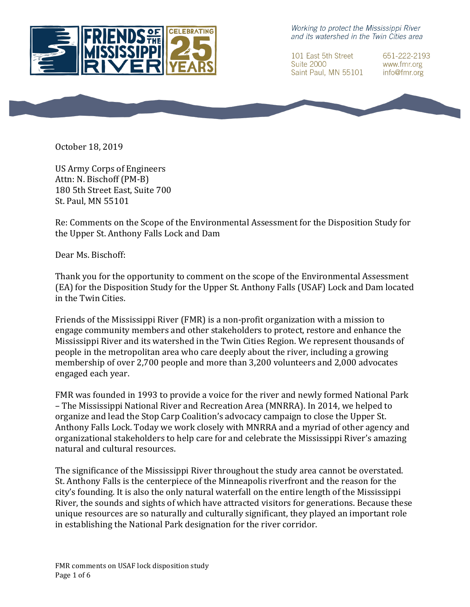

Working to protect the Mississippi River and its watershed in the Twin Cities area

101 East 5th Street **Suite 2000** Saint Paul, MN 55101 651-222-2193 www.fmr.org info@fmr.org



US Army Corps of Engineers Attn: N. Bischoff (PM-B) 180 5th Street East, Suite 700 St. Paul, MN 55101

Re: Comments on the Scope of the Environmental Assessment for the Disposition Study for the Upper St. Anthony Falls Lock and Dam

Dear Ms. Bischoff:

Thank you for the opportunity to comment on the scope of the Environmental Assessment (EA) for the Disposition Study for the Upper St. Anthony Falls (USAF) Lock and Dam located in the Twin Cities.

Friends of the Mississippi River (FMR) is a non-profit organization with a mission to engage community members and other stakeholders to protect, restore and enhance the Mississippi River and its watershed in the Twin Cities Region. We represent thousands of people in the metropolitan area who care deeply about the river, including a growing membership of over 2,700 people and more than 3,200 volunteers and 2,000 advocates engaged each year.

FMR was founded in 1993 to provide a voice for the river and newly formed National Park – The Mississippi National River and Recreation Area (MNRRA). In 2014, we helped to organize and lead the Stop Carp Coalition's advocacy campaign to close the Upper St. Anthony Falls Lock. Today we work closely with MNRRA and a myriad of other agency and organizational stakeholders to help care for and celebrate the Mississippi River's amazing natural and cultural resources.

The significance of the Mississippi River throughout the study area cannot be overstated. St. Anthony Falls is the centerpiece of the Minneapolis riverfront and the reason for the city's founding. It is also the only natural waterfall on the entire length of the Mississippi River, the sounds and sights of which have attracted visitors for generations. Because these unique resources are so naturally and culturally significant, they played an important role in establishing the National Park designation for the river corridor.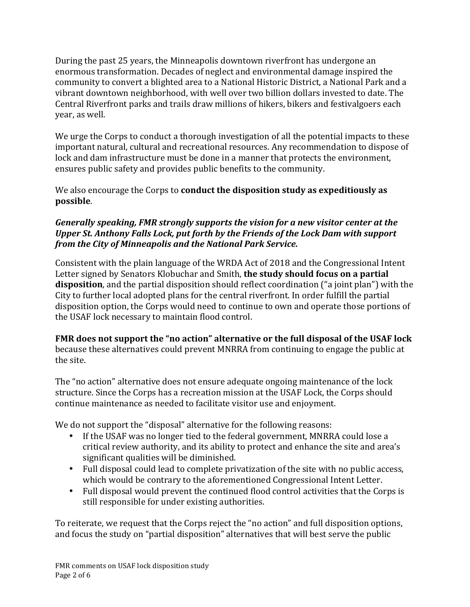During the past 25 years, the Minneapolis downtown riverfront has undergone an enormous transformation. Decades of neglect and environmental damage inspired the community to convert a blighted area to a National Historic District, a National Park and a vibrant downtown neighborhood, with well over two billion dollars invested to date. The Central Riverfront parks and trails draw millions of hikers, bikers and festivalgoers each year, as well.

We urge the Corps to conduct a thorough investigation of all the potential impacts to these important natural, cultural and recreational resources. Any recommendation to dispose of lock and dam infrastructure must be done in a manner that protects the environment, ensures public safety and provides public benefits to the community.

We also encourage the Corps to **conduct the disposition study as expeditiously as possible**.

# *Generally speaking, FMR strongly supports the vision for a new visitor center at the Upper St. Anthony Falls Lock, put forth by the Friends of the Lock Dam with support from the City of Minneapolis and the National Park Service.*

Consistent with the plain language of the WRDA Act of 2018 and the Congressional Intent Letter signed by Senators Klobuchar and Smith, **the study should focus on a partial disposition**, and the partial disposition should reflect coordination ("a joint plan") with the City to further local adopted plans for the central riverfront. In order fulfill the partial disposition option, the Corps would need to continue to own and operate those portions of the USAF lock necessary to maintain flood control.

**FMR** does not support the "no action" alternative or the full disposal of the USAF lock because these alternatives could prevent MNRRA from continuing to engage the public at the site.

The "no action" alternative does not ensure adequate ongoing maintenance of the lock structure. Since the Corps has a recreation mission at the USAF Lock, the Corps should continue maintenance as needed to facilitate visitor use and enjoyment.

We do not support the "disposal" alternative for the following reasons:

- If the USAF was no longer tied to the federal government, MNRRA could lose a critical review authority, and its ability to protect and enhance the site and area's significant qualities will be diminished.
- Full disposal could lead to complete privatization of the site with no public access, which would be contrary to the aforementioned Congressional Intent Letter.
- Full disposal would prevent the continued flood control activities that the Corps is still responsible for under existing authorities.

To reiterate, we request that the Corps reject the "no action" and full disposition options, and focus the study on "partial disposition" alternatives that will best serve the public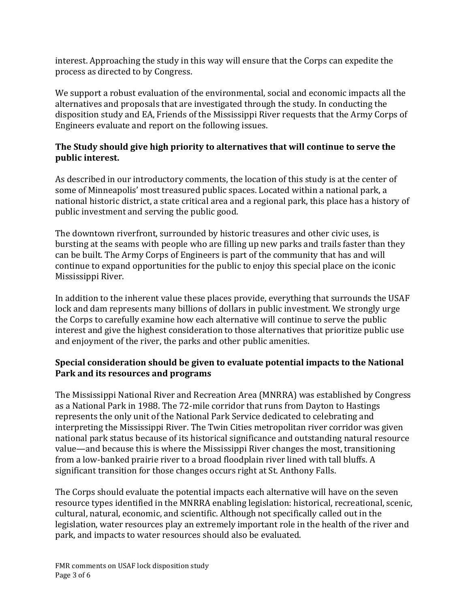interest. Approaching the study in this way will ensure that the Corps can expedite the process as directed to by Congress.

We support a robust evaluation of the environmental, social and economic impacts all the alternatives and proposals that are investigated through the study. In conducting the disposition study and EA, Friends of the Mississippi River requests that the Army Corps of Engineers evaluate and report on the following issues.

# The Study should give high priority to alternatives that will continue to serve the public interest.

As described in our introductory comments, the location of this study is at the center of some of Minneapolis' most treasured public spaces. Located within a national park, a national historic district, a state critical area and a regional park, this place has a history of public investment and serving the public good.

The downtown riverfront, surrounded by historic treasures and other civic uses, is bursting at the seams with people who are filling up new parks and trails faster than they can be built. The Army Corps of Engineers is part of the community that has and will continue to expand opportunities for the public to enjoy this special place on the iconic Mississippi River.

In addition to the inherent value these places provide, everything that surrounds the USAF lock and dam represents many billions of dollars in public investment. We strongly urge the Corps to carefully examine how each alternative will continue to serve the public interest and give the highest consideration to those alternatives that prioritize public use and enjoyment of the river, the parks and other public amenities.

# **Special consideration should be given to evaluate potential impacts to the National Park and its resources and programs**

The Mississippi National River and Recreation Area (MNRRA) was established by Congress as a National Park in 1988. The 72-mile corridor that runs from Dayton to Hastings represents the only unit of the National Park Service dedicated to celebrating and interpreting the Mississippi River. The Twin Cities metropolitan river corridor was given national park status because of its historical significance and outstanding natural resource value—and because this is where the Mississippi River changes the most, transitioning from a low-banked prairie river to a broad floodplain river lined with tall bluffs. A significant transition for those changes occurs right at St. Anthony Falls.

The Corps should evaluate the potential impacts each alternative will have on the seven resource types identified in the MNRRA enabling legislation: historical, recreational, scenic, cultural, natural, economic, and scientific. Although not specifically called out in the legislation, water resources play an extremely important role in the health of the river and park, and impacts to water resources should also be evaluated.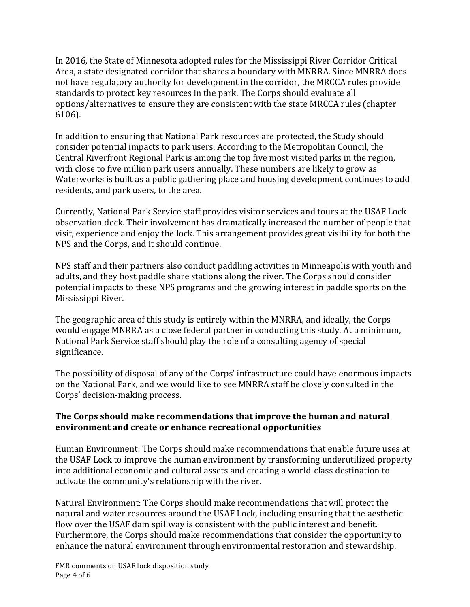In 2016, the State of Minnesota adopted rules for the Mississippi River Corridor Critical Area, a state designated corridor that shares a boundary with MNRRA. Since MNRRA does not have regulatory authority for development in the corridor, the MRCCA rules provide standards to protect key resources in the park. The Corps should evaluate all options/alternatives to ensure they are consistent with the state MRCCA rules (chapter 6106).

In addition to ensuring that National Park resources are protected, the Study should consider potential impacts to park users. According to the Metropolitan Council, the Central Riverfront Regional Park is among the top five most visited parks in the region, with close to five million park users annually. These numbers are likely to grow as Waterworks is built as a public gathering place and housing development continues to add residents, and park users, to the area.

Currently, National Park Service staff provides visitor services and tours at the USAF Lock observation deck. Their involvement has dramatically increased the number of people that visit, experience and enjoy the lock. This arrangement provides great visibility for both the NPS and the Corps, and it should continue.

NPS staff and their partners also conduct paddling activities in Minneapolis with youth and adults, and they host paddle share stations along the river. The Corps should consider potential impacts to these NPS programs and the growing interest in paddle sports on the Mississippi River.

The geographic area of this study is entirely within the MNRRA, and ideally, the Corps would engage MNRRA as a close federal partner in conducting this study. At a minimum, National Park Service staff should play the role of a consulting agency of special significance.

The possibility of disposal of any of the Corps' infrastructure could have enormous impacts on the National Park, and we would like to see MNRRA staff be closely consulted in the Corps' decision-making process.

#### The Corps should make recommendations that improve the human and natural **environment and create or enhance recreational opportunities**

Human Environment: The Corps should make recommendations that enable future uses at the USAF Lock to improve the human environment by transforming underutilized property into additional economic and cultural assets and creating a world-class destination to activate the community's relationship with the river.

Natural Environment: The Corps should make recommendations that will protect the natural and water resources around the USAF Lock, including ensuring that the aesthetic flow over the USAF dam spillway is consistent with the public interest and benefit. Furthermore, the Corps should make recommendations that consider the opportunity to enhance the natural environment through environmental restoration and stewardship.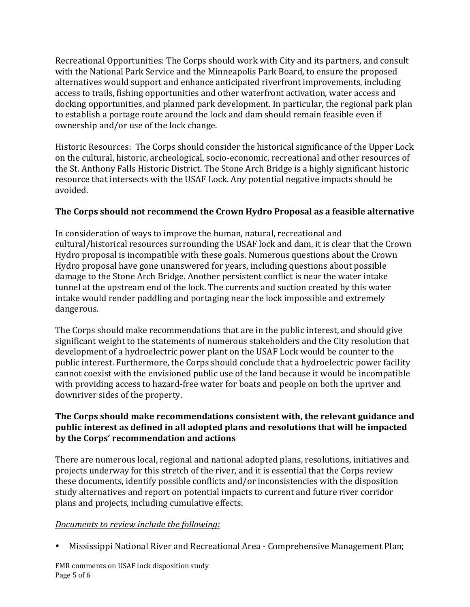Recreational Opportunities: The Corps should work with City and its partners, and consult with the National Park Service and the Minneapolis Park Board, to ensure the proposed alternatives would support and enhance anticipated riverfront improvements, including access to trails, fishing opportunities and other waterfront activation, water access and docking opportunities, and planned park development. In particular, the regional park plan to establish a portage route around the lock and dam should remain feasible even if ownership and/or use of the lock change.

Historic Resources: The Corps should consider the historical significance of the Upper Lock on the cultural, historic, archeological, socio-economic, recreational and other resources of the St. Anthony Falls Historic District. The Stone Arch Bridge is a highly significant historic resource that intersects with the USAF Lock. Any potential negative impacts should be avoided.

# **The Corps should not recommend the Crown Hydro Proposal as a feasible alternative**

In consideration of ways to improve the human, natural, recreational and cultural/historical resources surrounding the USAF lock and dam, it is clear that the Crown Hydro proposal is incompatible with these goals. Numerous questions about the Crown Hydro proposal have gone unanswered for years, including questions about possible damage to the Stone Arch Bridge. Another persistent conflict is near the water intake tunnel at the upstream end of the lock. The currents and suction created by this water intake would render paddling and portaging near the lock impossible and extremely dangerous.

The Corps should make recommendations that are in the public interest, and should give significant weight to the statements of numerous stakeholders and the City resolution that development of a hydroelectric power plant on the USAF Lock would be counter to the public interest. Furthermore, the Corps should conclude that a hydroelectric power facility cannot coexist with the envisioned public use of the land because it would be incompatible with providing access to hazard-free water for boats and people on both the upriver and downriver sides of the property.

#### **The Corps should make recommendations consistent with, the relevant guidance and public interest as defined in all adopted plans and resolutions that will be impacted** by the Corps' recommendation and actions

There are numerous local, regional and national adopted plans, resolutions, initiatives and projects underway for this stretch of the river, and it is essential that the Corps review these documents, identify possible conflicts and/or inconsistencies with the disposition study alternatives and report on potential impacts to current and future river corridor plans and projects, including cumulative effects.

### *Documents* to review include the following:

• Mississippi National River and Recreational Area - Comprehensive Management Plan;